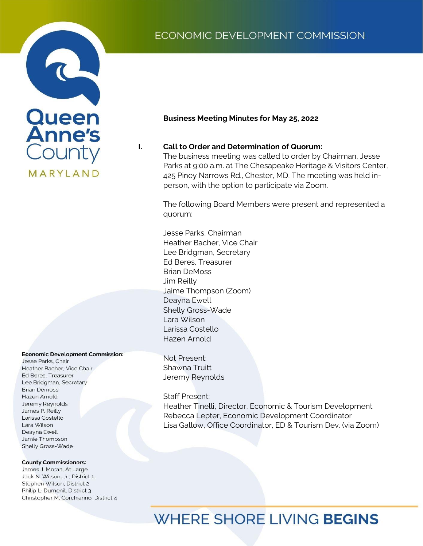## ECONOMIC DEVELOPMENT COMMISSION



#### **Business Meeting Minutes for May 25, 2022**

#### **I. Call to Order and Determination of Quorum:**

The business meeting was called to order by Chairman, Jesse Parks at 9:00 a.m. at The Chesapeake Heritage & Visitors Center, 425 Piney Narrows Rd., Chester, MD. The meeting was held inperson, with the option to participate via Zoom.

The following Board Members were present and represented a quorum:

Heather Tinelli, Director, Economic & Tourism Development Larissa Costello Rebecca Lepter, Economic Development Coordinator Hazen Arnold Jesse Parks, Chairman Heather Bacher, Vice Chair Lee Bridgman, Secretary Ed Beres, Treasurer Brian DeMoss Jim Reilly Jaime Thompson (Zoom) Deayna Ewell Shelly Gross-Wade Lara Wilson

> Not Present: Shawna Truitt Jeremy Reynolds

Staff Present: Heather Tinelli, Director, Economic & Tourism Development Rebecca Lepter, Economic Development Coordinator Lisa Gallow, Office Coordinator, ED & Tourism Dev. (via Zoom)

#### **Economic Development Commission:**

Jesse Parks, Chair Heather Bacher, Vice Chair Ed Beres, Treasurer Lee Bridgman, Secretary **Brian Demoss** Hazen Arnold Jeremy Reynolds James P. Reilly Larissa Costello Lara Wilson Deayna Ewell Jamie Thompson Shelly Gross-Wade

#### **County Commissioners:**

James J. Moran, At Large Jack N. Wilson, Jr., District 1 Stephen Wilson, District 2 Philip L. Dumenil, District 3 Christopher M. Corchiarino, District 4

# **WHERE SHORE LIVING BEGINS**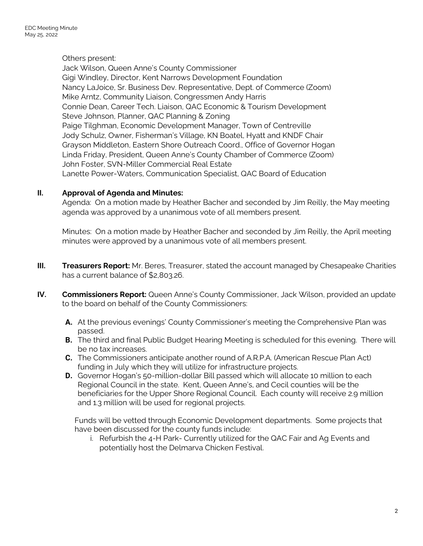#### Others present:

Jack Wilson, Queen Anne's County Commissioner Gigi Windley, Director, Kent Narrows Development Foundation Nancy LaJoice, Sr. Business Dev. Representative, Dept. of Commerce (Zoom) Mike Arntz, Community Liaison, Congressmen Andy Harris Connie Dean, Career Tech. Liaison, QAC Economic & Tourism Development Steve Johnson, Planner, QAC Planning & Zoning Paige Tilghman, Economic Development Manager, Town of Centreville Jody Schulz, Owner, Fisherman's Village, KN Boatel, Hyatt and KNDF Chair Grayson Middleton, Eastern Shore Outreach Coord., Office of Governor Hogan Linda Friday, President, Queen Anne's County Chamber of Commerce (Zoom) John Foster, SVN-Miller Commercial Real Estate Lanette Power-Waters, Communication Specialist, QAC Board of Education

#### **II. Approval of Agenda and Minutes:**

Agenda: On a motion made by Heather Bacher and seconded by Jim Reilly, the May meeting agenda was approved by a unanimous vote of all members present.

Minutes: On a motion made by Heather Bacher and seconded by Jim Reilly, the April meeting minutes were approved by a unanimous vote of all members present.

- **III. Treasurers Report:** Mr. Beres, Treasurer, stated the account managed by Chesapeake Charities has a current balance of \$2,803.26.
- **IV. Commissioners Report:** Queen Anne's County Commissioner, Jack Wilson, provided an update to the board on behalf of the County Commissioners:
	- **A.** At the previous evenings' County Commissioner's meeting the Comprehensive Plan was passed.
	- **B.** The third and final Public Budget Hearing Meeting is scheduled for this evening. There will be no tax increases.
	- **C.** The Commissioners anticipate another round of A.R.P.A. (American Rescue Plan Act) funding in July which they will utilize for infrastructure projects.
	- **D.** Governor Hogan's 50-million-dollar Bill passed which will allocate 10 million to each Regional Council in the state. Kent, Queen Anne's, and Cecil counties will be the beneficiaries for the Upper Shore Regional Council. Each county will receive 2.9 million and 1.3 million will be used for regional projects.

Funds will be vetted through Economic Development departments. Some projects that have been discussed for the county funds include:

i. Refurbish the 4-H Park- Currently utilized for the QAC Fair and Ag Events and potentially host the Delmarva Chicken Festival.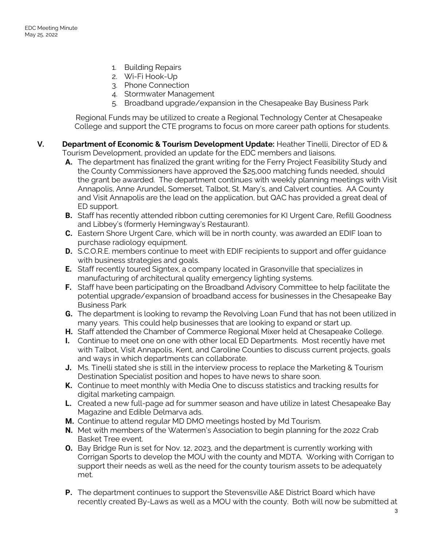- 1. Building Repairs
- 2. Wi-Fi Hook-Up
- 3. Phone Connection
- 4. Stormwater Management
- 5. Broadband upgrade/expansion in the Chesapeake Bay Business Park

Regional Funds may be utilized to create a Regional Technology Center at Chesapeake College and support the CTE programs to focus on more career path options for students.

- **V. Department of Economic & Tourism Development Update:** Heather Tinelli, Director of ED & Tourism Development, provided an update for the EDC members and liaisons.
	- **A.** The department has finalized the grant writing for the Ferry Project Feasibility Study and the County Commissioners have approved the \$25,000 matching funds needed, should the grant be awarded. The department continues with weekly planning meetings with Visit Annapolis, Anne Arundel, Somerset, Talbot, St. Mary's, and Calvert counties. AA County and Visit Annapolis are the lead on the application, but QAC has provided a great deal of ED support.
	- **B.** Staff has recently attended ribbon cutting ceremonies for KI Urgent Care, Refill Goodness and Libbey's (formerly Hemingway's Restaurant).
	- **C.** Eastern Shore Urgent Care, which will be in north county, was awarded an EDIF loan to purchase radiology equipment.
	- **D.** S.C.O.R.E. members continue to meet with EDIF recipients to support and offer guidance with business strategies and goals.
	- **E.** Staff recently toured Signtex, a company located in Grasonville that specializes in manufacturing of architectural quality emergency lighting systems.
	- **F.** Staff have been participating on the Broadband Advisory Committee to help facilitate the potential upgrade/expansion of broadband access for businesses in the Chesapeake Bay Business Park
	- **G.** The department is looking to revamp the Revolving Loan Fund that has not been utilized in many years. This could help businesses that are looking to expand or start up.
	- **H.** Staff attended the Chamber of Commerce Regional Mixer held at Chesapeake College.
	- **I.** Continue to meet one on one with other local ED Departments. Most recently have met with Talbot, Visit Annapolis, Kent, and Caroline Counties to discuss current projects, goals and ways in which departments can collaborate.
	- **J.** Ms. Tinelli stated she is still in the interview process to replace the Marketing & Tourism Destination Specialist position and hopes to have news to share soon.
	- **K.** Continue to meet monthly with Media One to discuss statistics and tracking results for digital marketing campaign.
	- **L.** Created a new full-page ad for summer season and have utilize in latest Chesapeake Bay Magazine and Edible Delmarva ads.
	- **M.** Continue to attend regular MD DMO meetings hosted by Md Tourism.
	- **N.** Met with members of the Watermen's Association to begin planning for the 2022 Crab Basket Tree event.
	- **O.** Bay Bridge Run is set for Nov. 12, 2023, and the department is currently working with Corrigan Sports to develop the MOU with the county and MDTA. Working with Corrigan to support their needs as well as the need for the county tourism assets to be adequately met.
	- **P.** The department continues to support the Stevensville A&E District Board which have recently created By-Laws as well as a MOU with the county. Both will now be submitted at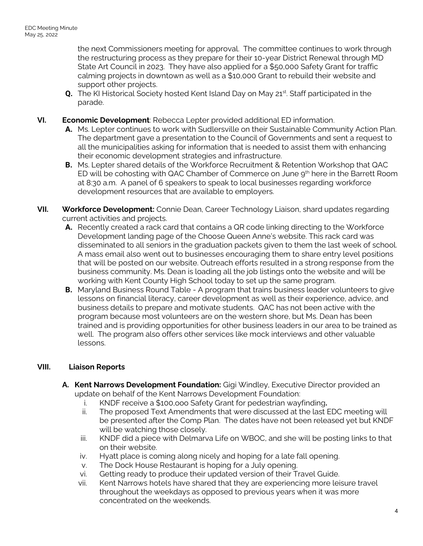the next Commissioners meeting for approval. The committee continues to work through the restructuring process as they prepare for their 10-year District Renewal through MD State Art Council in 2023. They have also applied for a \$50,000 Safety Grant for traffic calming projects in downtown as well as a \$10,000 Grant to rebuild their website and support other projects.

- **Q.** The KI Historical Society hosted Kent Island Day on May 21st. Staff participated in the parade.
- **VI. Economic Development**: Rebecca Lepter provided additional ED information.
	- **A.** Ms. Lepter continues to work with Sudlersville on their Sustainable Community Action Plan. The department gave a presentation to the Council of Governments and sent a request to all the municipalities asking for information that is needed to assist them with enhancing their economic development strategies and infrastructure.
	- **B.** Ms. Lepter shared details of the Workforce Recruitment & Retention Workshop that QAC ED will be cohosting with QAC Chamber of Commerce on June 9<sup>th</sup> here in the Barrett Room at 8:30 a.m. A panel of 6 speakers to speak to local businesses regarding workforce development resources that are available to employers.
- **VII. Workforce Development:** Connie Dean, Career Technology Liaison, shard updates regarding current activities and projects.
	- **A.** Recently created a rack card that contains a QR code linking directing to the Workforce Development landing page of the Choose Queen Anne's website. This rack card was disseminated to all seniors in the graduation packets given to them the last week of school. A mass email also went out to businesses encouraging them to share entry level positions that will be posted on our website. Outreach efforts resulted in a strong response from the business community. Ms. Dean is loading all the job listings onto the website and will be working with Kent County High School today to set up the same program.
	- **B.** Maryland Business Round Table A program that trains business leader volunteers to give lessons on financial literacy, career development as well as their experience, advice, and business details to prepare and motivate students. QAC has not been active with the program because most volunteers are on the western shore, but Ms. Dean has been trained and is providing opportunities for other business leaders in our area to be trained as well. The program also offers other services like mock interviews and other valuable lessons.

## **VIII. Liaison Reports**

- **A. Kent Narrows Development Foundation:** Gigi Windley, Executive Director provided an update on behalf of the Kent Narrows Development Foundation:
	- i. KNDF receive a \$100,ooo Safety Grant for pedestrian wayfinding**.**
	- The proposed Text Amendments that were discussed at the last EDC meeting will be presented after the Comp Plan. The dates have not been released yet but KNDF will be watching those closely.
	- iii. KNDF did a piece with Delmarva Life on WBOC, and she will be posting links to that on their website.
	- iv. Hyatt place is coming along nicely and hoping for a late fall opening.
	- v. The Dock House Restaurant is hoping for a July opening.
	- vi. Getting ready to produce their updated version of their Travel Guide.
	- vii. Kent Narrows hotels have shared that they are experiencing more leisure travel throughout the weekdays as opposed to previous years when it was more concentrated on the weekends.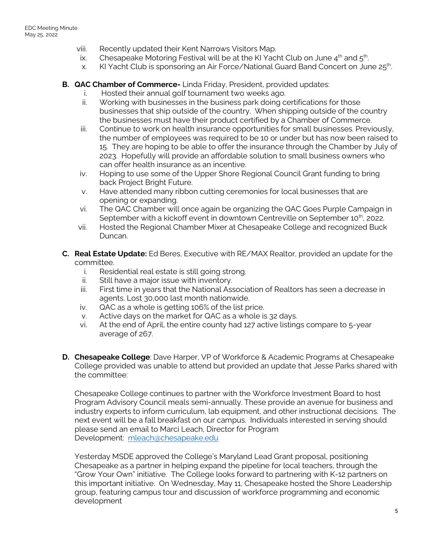- viii. Recently updated their Kent Narrows Visitors Map.
- ix. Chesapeake Motoring Festival will be at the KI Yacht Club on June  $4<sup>th</sup>$  and  $5<sup>th</sup>$ . .
- x. KI Yacht Club is sponsoring an Air Force/National Guard Band Concert on June  $25<sup>th</sup>$ . .
- **B. QAC Chamber of Commerce-** Linda Friday, President, provided updates:
	- Hosted their annual golf tournament two weeks ago.
	- ii. Working with businesses in the business park doing certifications for those businesses that ship outside of the country. When shipping outside of the country the businesses must have their product certified by a Chamber of Commerce.
	- iii. Continue to work on health insurance opportunities for small businesses. Previously, the number of employees was required to be 10 or under but has now been raised to 15. They are hoping to be able to offer the insurance through the Chamber by July of 2023. Hopefully will provide an affordable solution to small business owners who can offer health insurance as an incentive.
	- iv. Hoping to use some of the Upper Shore Regional Council Grant funding to bring back Project Bright Future.
	- v. Have attended many ribbon cutting ceremonies for local businesses that are opening or expanding.
	- vi. The QAC Chamber will once again be organizing the QAC Goes Purple Campaign in September with a kickoff event in downtown Centreville on September 10<sup>th</sup>, 2022.
	- vii. Hosted the Regional Chamber Mixer at Chesapeake College and recognized Buck Duncan.
- **C. Real Estate Update:** Ed Beres, Executive with RE/MAX Realtor, provided an update for the committee.
	- i. Residential real estate is still going strong.
	- ii. Still have a major issue with inventory.
	- iii. First time in years that the National Association of Realtors has seen a decrease in agents. Lost 30,000 last month nationwide.
	- iv. QAC as a whole is getting 106% of the list price.
	- v. Active days on the market for QAC as a whole is 32 days.
	- vi. At the end of April, the entire county had 127 active listings compare to 5-year average of 267.
- **D. Chesapeake College**: Dave Harper, VP of Workforce & Academic Programs at Chesapeake College provided was unable to attend but provided an update that Jesse Parks shared with the committee:

Chesapeake College continues to partner with the Workforce Investment Board to host Program Advisory Council meals semi-annually. These provide an avenue for business and industry experts to inform curriculum, lab equipment, and other instructional decisions. The next event will be a fall breakfast on our campus. Individuals interested in serving should please send an email to Marci Leach, Director for Program Development: [mleach@chesapeake.edu](mailto:mleach@chesapeake.edu)

Yesterday MSDE approved the College's Maryland Lead Grant proposal, positioning Chesapeake as a partner in helping expand the pipeline for local teachers, through the "Grow Your Own" initiative. The College looks forward to partnering with K-12 partners on this important initiative. On Wednesday, May 11, Chesapeake hosted the Shore Leadership group, featuring campus tour and discussion of workforce programming and economic development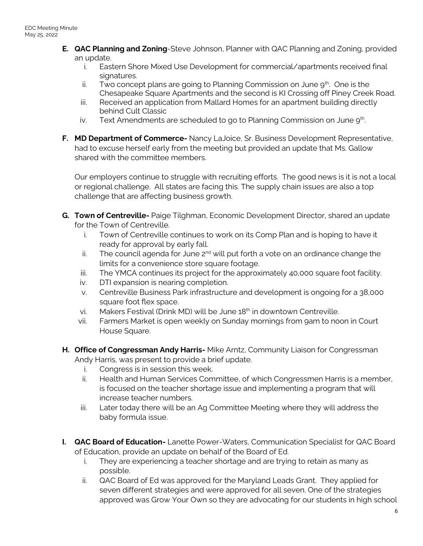- **E. QAC Planning and Zoning**-Steve Johnson, Planner with QAC Planning and Zoning, provided an update.
	- i. Eastern Shore Mixed Use Development for commercial/apartments received final signatures.
	- ii. Two concept plans are going to Planning Commission on June  $9<sup>th</sup>$ . One is the Chesapeake Square Apartments and the second is KI Crossing off Piney Creek Road.
	- iii. Received an application from Mallard Homes for an apartment building directly behind Cult Classic
	- iv. Text Amendments are scheduled to go to Planning Commission on June  $9<sup>th</sup>$ . .
- **F. MD Department of Commerce-** Nancy LaJoice, Sr. Business Development Representative, had to excuse herself early from the meeting but provided an update that Ms. Gallow shared with the committee members.

Our employers continue to struggle with recruiting efforts. The good news is it is not a local or regional challenge. All states are facing this. The supply chain issues are also a top challenge that are affecting business growth.

- **G. Town of Centreville-** Paige Tilghman, Economic Development Director, shared an update for the Town of Centreville.
	- i. Town of Centreville continues to work on its Comp Plan and is hoping to have it ready for approval by early fall.
	- ii. The council agenda for June  $2^{nd}$  will put forth a vote on an ordinance change the limits for a convenience store square footage.
	- iii. The YMCA continues its project for the approximately 40,000 square foot facility.
	- iv. DTI expansion is nearing completion.
	- v. Centreville Business Park infrastructure and development is ongoing for a 38,000 square foot flex space.
	- vi. Makers Festival (Drink MD) will be June 18<sup>th</sup> in downtown Centreville.
	- vii. Farmers Market is open weekly on Sunday mornings from 9am to noon in Court House Square.
- **H. Office of Congressman Andy Harris-** Mike Arntz, Community Liaison for Congressman Andy Harris, was present to provide a brief update.
	- i. Congress is in session this week.
	- ii. Health and Human Services Committee, of which Congressmen Harris is a member, is focused on the teacher shortage issue and implementing a program that will increase teacher numbers.
	- iii. Later today there will be an Ag Committee Meeting where they will address the baby formula issue.
- **I. QAC Board of Education-** Lanette Power-Waters, Communication Specialist for QAC Board of Education, provide an update on behalf of the Board of Ed.
	- i. They are experiencing a teacher shortage and are trying to retain as many as possible.
	- ii. QAC Board of Ed was approved for the Maryland Leads Grant. They applied for seven different strategies and were approved for all seven. One of the strategies approved was Grow Your Own so they are advocating for our students in high school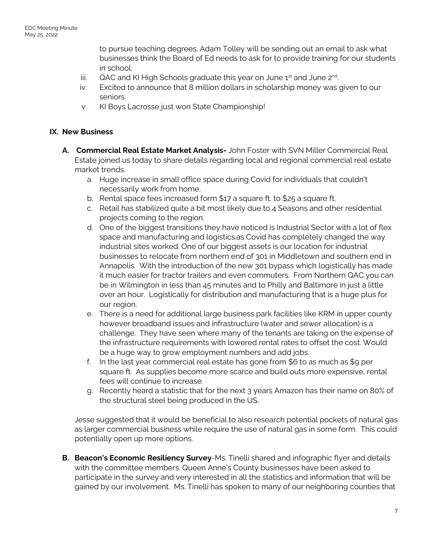to pursue teaching degrees. Adam Tolley will be sending out an email to ask what businesses think the Board of Ed needs to ask for to provide training for our students in school.

- iii. QAC and KI High Schools graduate this year on June  $1<sup>st</sup>$  and June  $2<sup>nd</sup>$ . .
- iv. Excited to announce that 8 million dollars in scholarship money was given to our seniors.
- v. KI Boys Lacrosse just won State Championship!

#### **IX. New Business**

- **A. Commercial Real Estate Market Analysis-** John Foster with SVN Miller Commercial Real Estate joined us today to share details regarding local and regional commercial real estate market trends.
	- a. Huge increase in small office space during Covid for individuals that couldn't necessarily work from home.
	- b. Rental space fees increased form \$17 a square ft. to \$25 a square ft.
	- c. Retail has stabilized quite a bit most likely due to 4 Seasons and other residential projects coming to the region.
	- d. One of the biggest transitions they have noticed is Industrial Sector with a lot of flex space and manufacturing and logistics.as Covid has completely changed the way industrial sites worked. One of our biggest assets is our location for industrial businesses to relocate from northern end of 301 in Middletown and southern end in Annapolis. With the introduction of the new 301 bypass which logistically has made it much easier for tractor trailers and even commuters. From Northern QAC you can be in Wilmington in less than 45 minutes and to Philly and Baltimore in just a little over an hour. Logistically for distribution and manufacturing that is a huge plus for our region.
	- e. There is a need for additional large business park facilities like KRM in upper county however broadband issues and infrastructure (water and sewer allocation) is a challenge. They have seen where many of the tenants are taking on the expense of the infrastructure requirements with lowered rental rates to offset the cost. Would be a huge way to grow employment numbers and add jobs.
	- f. In the last year commercial real estate has gone from  $$6$  to as much as  $$9$  per square ft. As supplies become more scarce and build outs more expensive, rental fees will continue to increase.
	- g. Recently heard a statistic that for the next 3 years Amazon has their name on 80% of the structural steel being produced in the US.

Jesse suggested that it would be beneficial to also research potential pockets of natural gas as larger commercial business while require the use of natural gas in some form. This could potentially open up more options.

**B. Beacon's Economic Resiliency Survey**-Ms. Tinelli shared and infographic flyer and details with the committee members. Queen Anne's County businesses have been asked to participate in the survey and very interested in all the statistics and information that will be gained by our involvement. Ms. Tinelli has spoken to many of our neighboring counties that